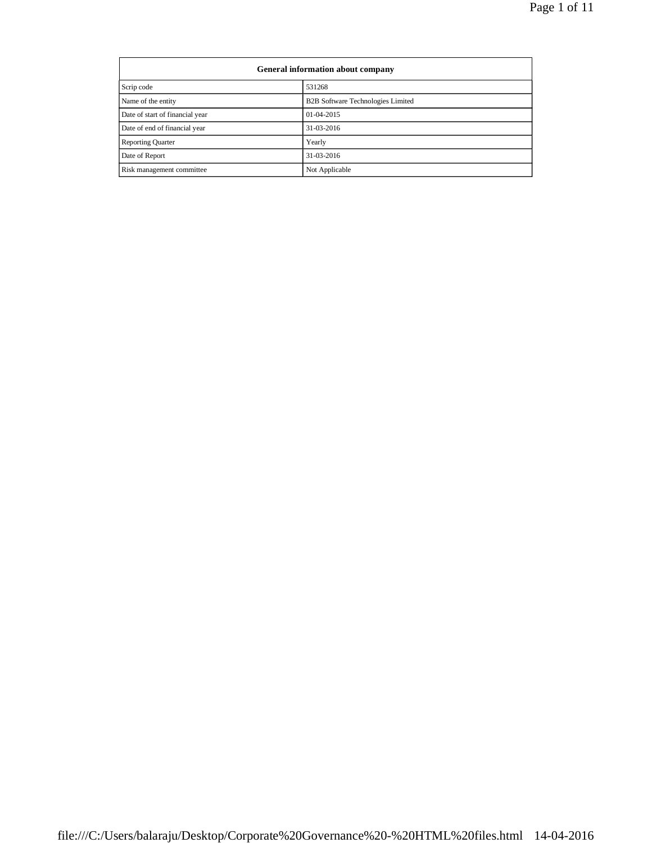| General information about company |                                          |  |
|-----------------------------------|------------------------------------------|--|
| Scrip code                        | 531268                                   |  |
| Name of the entity                | <b>B2B Software Technologies Limited</b> |  |
| Date of start of financial year   | $01-04-2015$                             |  |
| Date of end of financial year     | 31-03-2016                               |  |
| <b>Reporting Quarter</b>          | Yearly                                   |  |
| Date of Report                    | 31-03-2016                               |  |
| Risk management committee         | Not Applicable                           |  |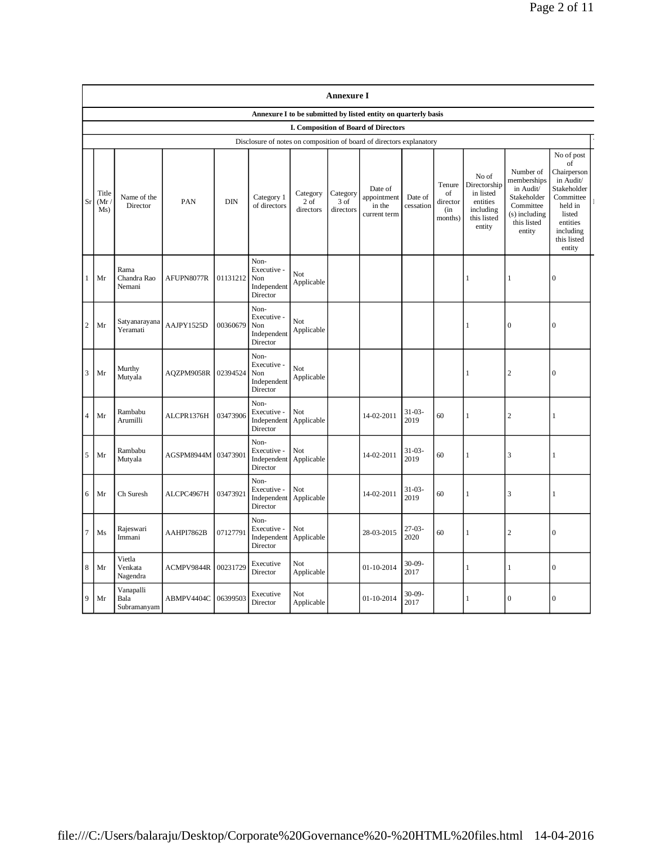|                | <b>Annexure I</b>                                              |                                  |            |            |                                                       |                               |                               |                                                                      |                      |                                             |                                                                                      |                                                                                                             |                                                                                                                                                 |
|----------------|----------------------------------------------------------------|----------------------------------|------------|------------|-------------------------------------------------------|-------------------------------|-------------------------------|----------------------------------------------------------------------|----------------------|---------------------------------------------|--------------------------------------------------------------------------------------|-------------------------------------------------------------------------------------------------------------|-------------------------------------------------------------------------------------------------------------------------------------------------|
|                | Annexure I to be submitted by listed entity on quarterly basis |                                  |            |            |                                                       |                               |                               |                                                                      |                      |                                             |                                                                                      |                                                                                                             |                                                                                                                                                 |
|                |                                                                |                                  |            |            |                                                       |                               |                               | I. Composition of Board of Directors                                 |                      |                                             |                                                                                      |                                                                                                             |                                                                                                                                                 |
|                |                                                                |                                  |            |            |                                                       |                               |                               | Disclosure of notes on composition of board of directors explanatory |                      |                                             |                                                                                      |                                                                                                             |                                                                                                                                                 |
| Sr             | Title<br>(Mr)<br>Ms)                                           | Name of the<br>Director          | PAN        | <b>DIN</b> | Category 1<br>of directors                            | Category<br>2 of<br>directors | Category<br>3 of<br>directors | Date of<br>appointment<br>in the<br>current term                     | Date of<br>cessation | Tenure<br>of<br>director<br>(in)<br>months) | No of<br>Directorship<br>in listed<br>entities<br>including<br>this listed<br>entity | Number of<br>memberships<br>in Audit/<br>Stakeholder<br>Committee<br>(s) including<br>this listed<br>entity | No of post<br>of<br>Chairperson<br>in Audit/<br>Stakeholder<br>Committee<br>held in<br>listed<br>entities<br>including<br>this listed<br>entity |
| 1              | Mr                                                             | Rama<br>Chandra Rao<br>Nemani    | AFUPN8077R | 01131212   | Non-<br>Executive -<br>Non<br>Independent<br>Director | Not<br>Applicable             |                               |                                                                      |                      |                                             | $\mathbf{1}$                                                                         | 1                                                                                                           | $\mathbf{0}$                                                                                                                                    |
| 2              | Mr                                                             | Satyanarayana<br>Yeramati        | AAJPY1525D | 00360679   | Non-<br>Executive -<br>Non<br>Independent<br>Director | Not<br>Applicable             |                               |                                                                      |                      |                                             | 1                                                                                    | $\overline{0}$                                                                                              | $\overline{0}$                                                                                                                                  |
| 3              | Mr                                                             | Murthy<br>Mutyala                | AQZPM9058R | 02394524   | Non-<br>Executive -<br>Non<br>Independent<br>Director | Not<br>Applicable             |                               |                                                                      |                      |                                             | $\mathbf{1}$                                                                         | $\sqrt{2}$                                                                                                  | $\mathbf{0}$                                                                                                                                    |
| $\overline{4}$ | Mr                                                             | Rambabu<br>Arumilli              | ALCPR1376H | 03473906   | Non-<br>Executive -<br>Independent<br>Director        | Not<br>Applicable             |                               | 14-02-2011                                                           | $31 - 03 -$<br>2019  | 60                                          | $\mathbf{1}$                                                                         | $\sqrt{2}$                                                                                                  | 1                                                                                                                                               |
| 5              | Mr                                                             | Rambabu<br>Mutyala               | AGSPM8944M | 03473901   | Non-<br>Executive -<br>Independent<br>Director        | Not<br>Applicable             |                               | 14-02-2011                                                           | $31 - 03 -$<br>2019  | 60                                          | 1                                                                                    | 3                                                                                                           | 1                                                                                                                                               |
| 6              | Mr                                                             | Ch Suresh                        | ALCPC4967H | 03473921   | Non-<br>Executive -<br>Independent<br>Director        | Not<br>Applicable             |                               | 14-02-2011                                                           | $31 - 03 -$<br>2019  | 60                                          | $\mathbf{1}$                                                                         | 3                                                                                                           | $\mathbf{1}$                                                                                                                                    |
| 7              | Ms                                                             | Rajeswari<br>Immani              | AAHPI7862B | 07127791   | Non-<br>Executive -<br>Independent<br>Director        | Not<br>Applicable             |                               | 28-03-2015                                                           | $27 - 03 -$<br>2020  | 60                                          | 1                                                                                    | $\overline{c}$                                                                                              | $\overline{0}$                                                                                                                                  |
| 8              | Mr                                                             | Vietla<br>Venkata<br>Nagendra    | ACMPV9844R | 00231729   | Executive<br>Director                                 | Not<br>Applicable             |                               | 01-10-2014                                                           | $30-09-$<br>2017     |                                             | $\mathbf{1}$                                                                         | $\mathbf{1}$                                                                                                | $\boldsymbol{0}$                                                                                                                                |
| 9              | Mr                                                             | Vanapalli<br>Bala<br>Subramanyam | ABMPV4404C | 06399503   | Executive<br>Director                                 | Not<br>Applicable             |                               | 01-10-2014                                                           | $30 - 09 -$<br>2017  |                                             | 1                                                                                    | $\theta$                                                                                                    | $\Omega$                                                                                                                                        |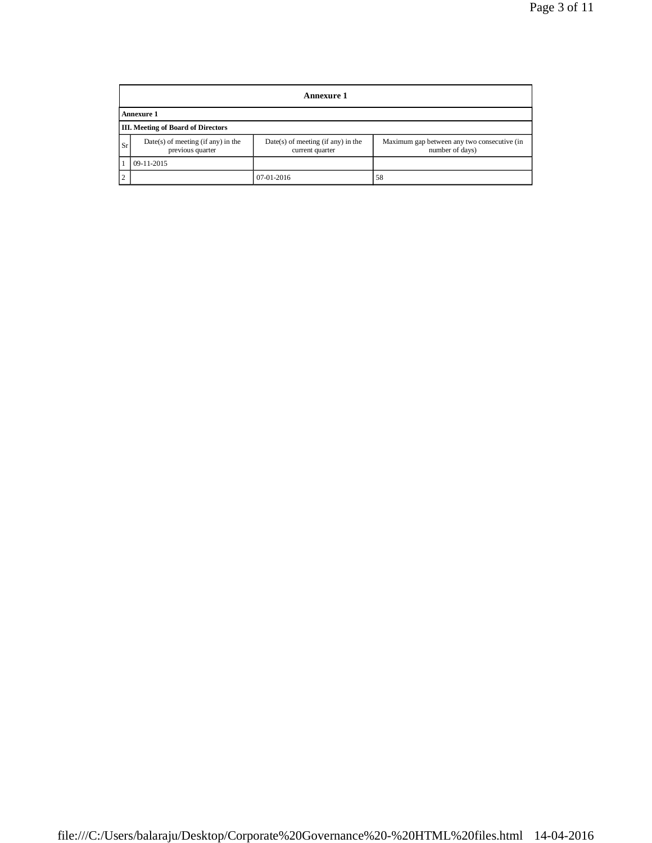|               | Annexure 1                                               |                                                         |                                                                |  |  |  |
|---------------|----------------------------------------------------------|---------------------------------------------------------|----------------------------------------------------------------|--|--|--|
|               | <b>Annexure 1</b>                                        |                                                         |                                                                |  |  |  |
|               | <b>III.</b> Meeting of Board of Directors                |                                                         |                                                                |  |  |  |
| Sr            | $Date(s)$ of meeting (if any) in the<br>previous quarter | $Date(s)$ of meeting (if any) in the<br>current quarter | Maximum gap between any two consecutive (in<br>number of days) |  |  |  |
|               | 09-11-2015                                               |                                                         |                                                                |  |  |  |
| $\mathcal{L}$ |                                                          | 07-01-2016                                              | 58                                                             |  |  |  |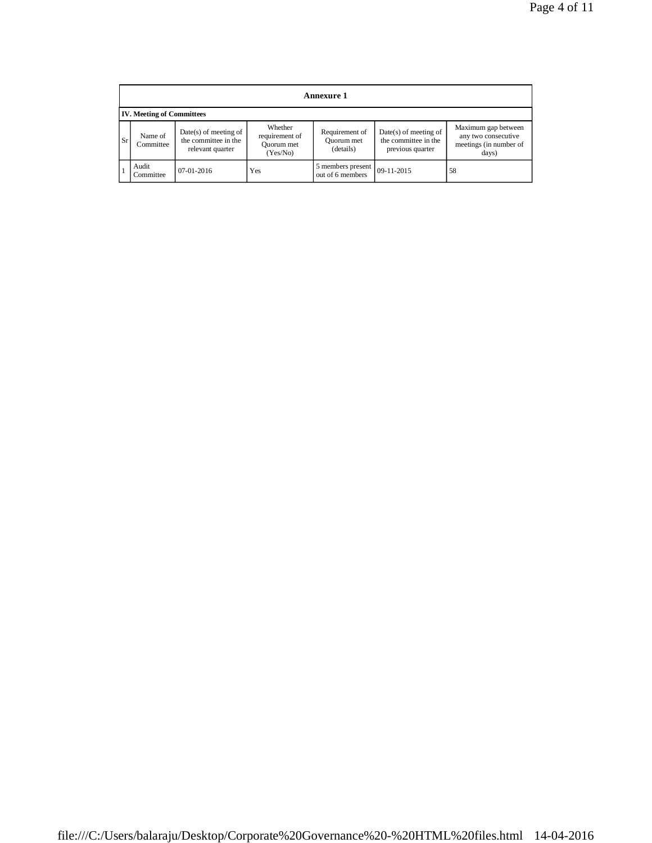|      | Annexure 1                       |                                                                     |                                                     |                                           |                                                                     |                                                                               |  |
|------|----------------------------------|---------------------------------------------------------------------|-----------------------------------------------------|-------------------------------------------|---------------------------------------------------------------------|-------------------------------------------------------------------------------|--|
|      | <b>IV. Meeting of Committees</b> |                                                                     |                                                     |                                           |                                                                     |                                                                               |  |
| l Sr | Name of<br>Committee             | $Date(s)$ of meeting of<br>the committee in the<br>relevant quarter | Whether<br>requirement of<br>Quorum met<br>(Yes/No) | Requirement of<br>Quorum met<br>(details) | $Date(s)$ of meeting of<br>the committee in the<br>previous quarter | Maximum gap between<br>any two consecutive<br>meetings (in number of<br>days) |  |
|      | Audit<br>Committee               | $07-01-2016$                                                        | Yes                                                 | 5 members present<br>out of 6 members     | $09-11-2015$                                                        | 58                                                                            |  |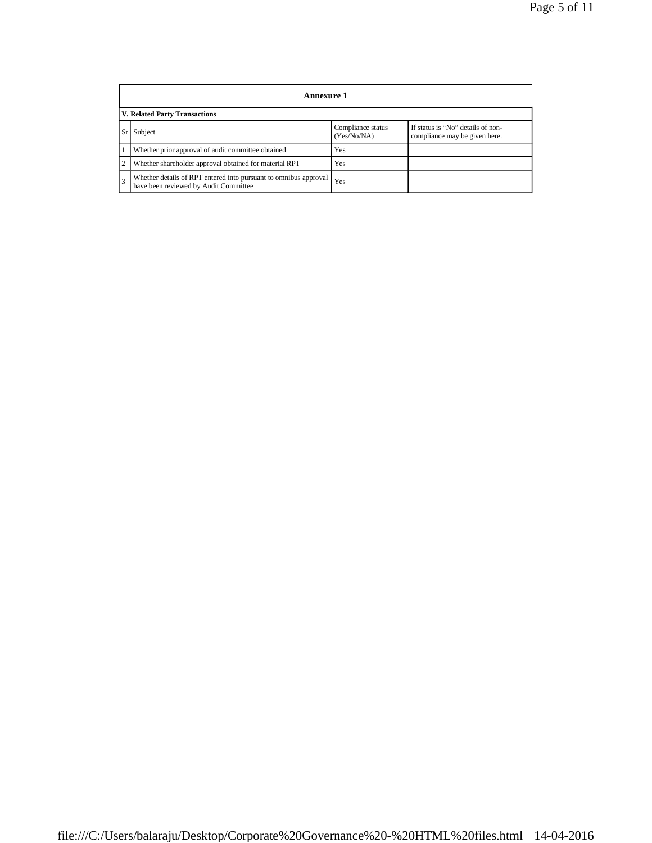|                | Annexure 1                                                                                                |                                  |                                                                    |  |  |
|----------------|-----------------------------------------------------------------------------------------------------------|----------------------------------|--------------------------------------------------------------------|--|--|
|                | <b>V. Related Party Transactions</b>                                                                      |                                  |                                                                    |  |  |
|                | Subject                                                                                                   | Compliance status<br>(Yes/No/NA) | If status is "No" details of non-<br>compliance may be given here. |  |  |
|                | Whether prior approval of audit committee obtained                                                        | Yes                              |                                                                    |  |  |
| $\overline{c}$ | Whether shareholder approval obtained for material RPT                                                    | Yes                              |                                                                    |  |  |
| 3              | Whether details of RPT entered into pursuant to omnibus approval<br>have been reviewed by Audit Committee | Yes                              |                                                                    |  |  |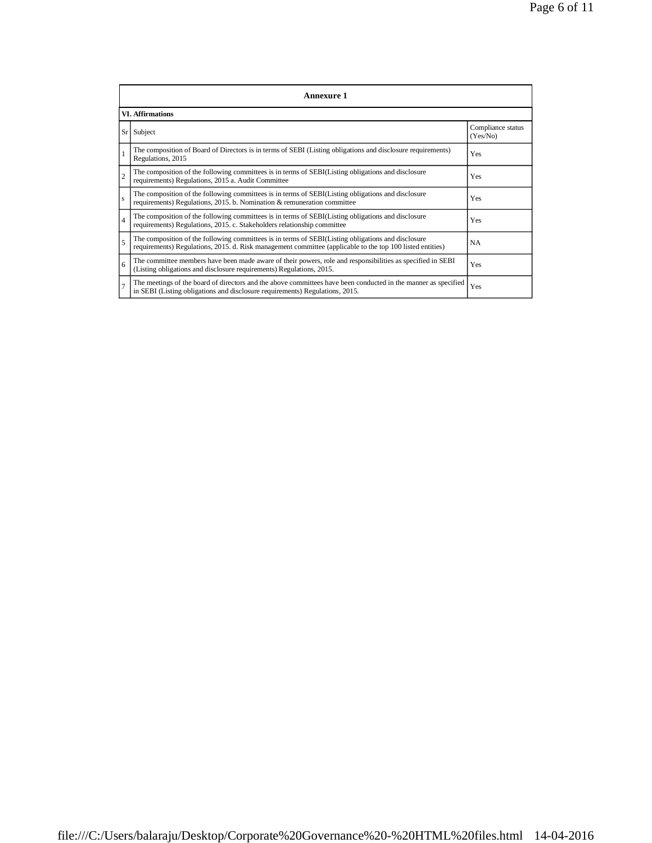|                | Annexure 1                                                                                                                                                                                                      |                               |  |  |  |
|----------------|-----------------------------------------------------------------------------------------------------------------------------------------------------------------------------------------------------------------|-------------------------------|--|--|--|
|                | <b>VI. Affirmations</b>                                                                                                                                                                                         |                               |  |  |  |
|                | $Sr$ Subject                                                                                                                                                                                                    | Compliance status<br>(Yes/No) |  |  |  |
| $\mathbf{1}$   | The composition of Board of Directors is in terms of SEBI (Listing obligations and disclosure requirements)<br>Regulations, 2015                                                                                | Yes                           |  |  |  |
| $\overline{c}$ | The composition of the following committees is in terms of SEBI(Listing obligations and disclosure<br>requirements) Regulations, 2015 a. Audit Committee                                                        | Yes                           |  |  |  |
| s              | The composition of the following committees is in terms of SEBI(Listing obligations and disclosure<br>requirements) Regulations, 2015. b. Nomination & remuneration committee                                   | Yes                           |  |  |  |
| $\overline{4}$ | The composition of the following committees is in terms of SEBI(Listing obligations and disclosure<br>requirements) Regulations, 2015. c. Stakeholders relationship committee                                   | Yes                           |  |  |  |
| 5              | The composition of the following committees is in terms of SEBI(Listing obligations and disclosure<br>requirements) Regulations, 2015. d. Risk management committee (applicable to the top 100 listed entities) | <b>NA</b>                     |  |  |  |
| 6              | The committee members have been made aware of their powers, role and responsibilities as specified in SEBI<br>(Listing obligations and disclosure requirements) Regulations, 2015.                              | Yes                           |  |  |  |
| $\overline{7}$ | The meetings of the board of directors and the above committees have been conducted in the manner as specified<br>in SEBI (Listing obligations and disclosure requirements) Regulations, 2015.                  | Yes                           |  |  |  |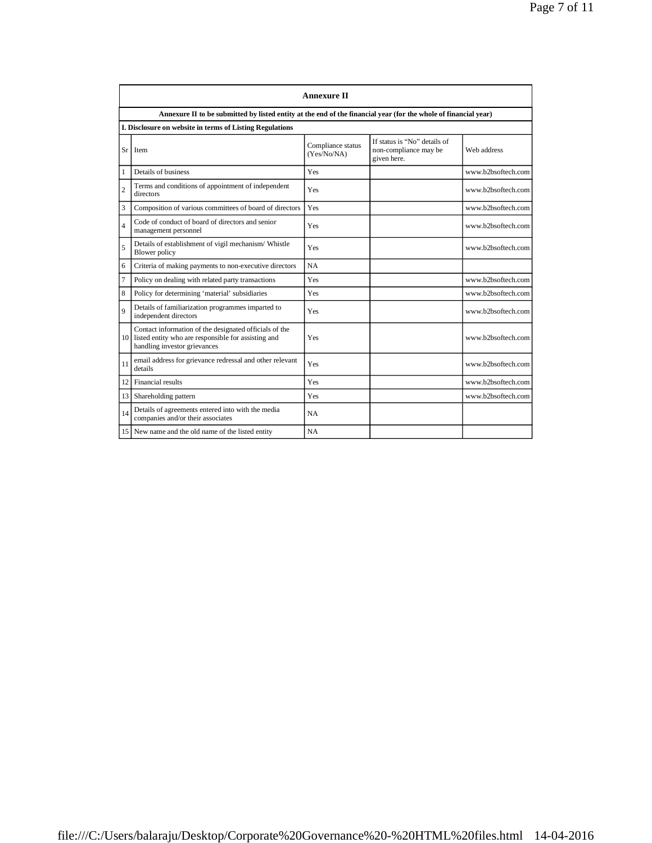|                 | <b>Annexure II</b>                                                                                                                               |                                  |                                                                      |                    |  |  |
|-----------------|--------------------------------------------------------------------------------------------------------------------------------------------------|----------------------------------|----------------------------------------------------------------------|--------------------|--|--|
|                 | Annexure II to be submitted by listed entity at the end of the financial year (for the whole of financial year)                                  |                                  |                                                                      |                    |  |  |
|                 | I. Disclosure on website in terms of Listing Regulations                                                                                         |                                  |                                                                      |                    |  |  |
| Sr              | Item                                                                                                                                             | Compliance status<br>(Yes/No/NA) | If status is "No" details of<br>non-compliance may be<br>given here. | Web address        |  |  |
| 1               | Details of business                                                                                                                              | Yes                              |                                                                      | www.b2bsoftech.com |  |  |
| $\overline{2}$  | Terms and conditions of appointment of independent<br>directors                                                                                  | Yes                              |                                                                      | www.b2bsoftech.com |  |  |
| 3               | Composition of various committees of board of directors                                                                                          | Yes                              |                                                                      | www.b2bsoftech.com |  |  |
| $\overline{4}$  | Code of conduct of board of directors and senior<br>management personnel                                                                         | Yes                              |                                                                      | www.b2bsoftech.com |  |  |
| 5               | Details of establishment of vigil mechanism/ Whistle<br>Blower policy                                                                            | Yes                              |                                                                      | www.b2bsoftech.com |  |  |
| 6               | Criteria of making payments to non-executive directors                                                                                           | NA                               |                                                                      |                    |  |  |
| $\overline{7}$  | Policy on dealing with related party transactions                                                                                                | Yes                              |                                                                      | www.b2bsoftech.com |  |  |
| 8               | Policy for determining 'material' subsidiaries                                                                                                   | Yes                              |                                                                      | www.b2bsoftech.com |  |  |
| $\mathbf Q$     | Details of familiarization programmes imparted to<br>independent directors                                                                       | Yes                              |                                                                      | www.b2bsoftech.com |  |  |
|                 | Contact information of the designated officials of the<br>10 listed entity who are responsible for assisting and<br>handling investor grievances | Yes                              |                                                                      | www.b2bsoftech.com |  |  |
| 11              | email address for grievance redressal and other relevant<br>details                                                                              | Yes                              |                                                                      | www.b2bsoftech.com |  |  |
| 12              | Financial results                                                                                                                                | Yes                              |                                                                      | www.b2bsoftech.com |  |  |
| 13 <sup>1</sup> | Shareholding pattern                                                                                                                             | Yes                              |                                                                      | www.b2bsoftech.com |  |  |
| 14              | Details of agreements entered into with the media<br>companies and/or their associates                                                           | NA                               |                                                                      |                    |  |  |
|                 | 15 New name and the old name of the listed entity                                                                                                | NA                               |                                                                      |                    |  |  |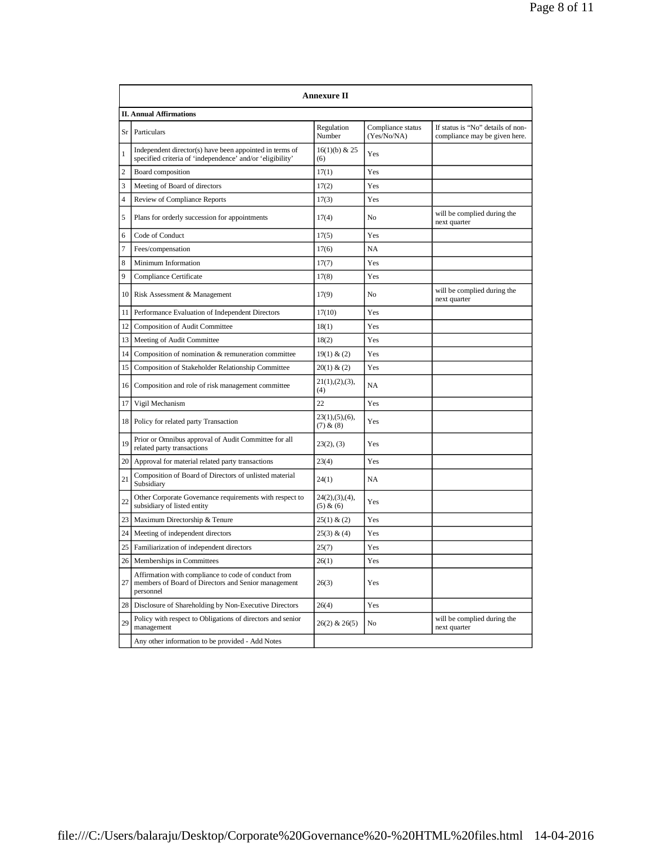|                 | Annexure II                                                                                                             |                               |                                  |                                                                    |  |  |  |
|-----------------|-------------------------------------------------------------------------------------------------------------------------|-------------------------------|----------------------------------|--------------------------------------------------------------------|--|--|--|
|                 | <b>II. Annual Affirmations</b>                                                                                          |                               |                                  |                                                                    |  |  |  |
| Sr l            | Particulars                                                                                                             | Regulation<br>Number          | Compliance status<br>(Yes/No/NA) | If status is "No" details of non-<br>compliance may be given here. |  |  |  |
| 1               | Independent director(s) have been appointed in terms of<br>specified criteria of 'independence' and/or 'eligibility'    | $16(1)(b)$ & 25<br>(6)        | Yes                              |                                                                    |  |  |  |
| 2               | Board composition                                                                                                       | 17(1)                         | Yes                              |                                                                    |  |  |  |
| 3               | Meeting of Board of directors                                                                                           | 17(2)                         | Yes                              |                                                                    |  |  |  |
| $\overline{4}$  | Review of Compliance Reports                                                                                            | 17(3)                         | Yes                              |                                                                    |  |  |  |
| 5               | Plans for orderly succession for appointments                                                                           | 17(4)                         | No                               | will be complied during the<br>next quarter                        |  |  |  |
| 6               | Code of Conduct                                                                                                         | 17(5)                         | Yes                              |                                                                    |  |  |  |
| 7               | Fees/compensation                                                                                                       | 17(6)                         | NA                               |                                                                    |  |  |  |
| 8               | Minimum Information                                                                                                     | 17(7)                         | Yes                              |                                                                    |  |  |  |
| 9               | Compliance Certificate                                                                                                  | 17(8)                         | Yes                              |                                                                    |  |  |  |
|                 | 10   Risk Assessment & Management                                                                                       | 17(9)                         | No                               | will be complied during the<br>next quarter                        |  |  |  |
| 11              | Performance Evaluation of Independent Directors                                                                         | 17(10)                        | Yes                              |                                                                    |  |  |  |
| 12              | <b>Composition of Audit Committee</b>                                                                                   | 18(1)                         | Yes                              |                                                                    |  |  |  |
| 13 <sup>1</sup> | Meeting of Audit Committee                                                                                              | 18(2)                         | Yes                              |                                                                    |  |  |  |
| 14              | Composition of nomination & remuneration committee                                                                      | 19(1) & (2)                   | Yes                              |                                                                    |  |  |  |
| 15              | Composition of Stakeholder Relationship Committee                                                                       | 20(1) & (2)                   | Yes                              |                                                                    |  |  |  |
| 16 I            | Composition and role of risk management committee                                                                       | 21(1), (2), (3),<br>(4)       | NA                               |                                                                    |  |  |  |
| 17              | Vigil Mechanism                                                                                                         | 22                            | Yes                              |                                                                    |  |  |  |
|                 | 18   Policy for related party Transaction                                                                               | 23(1), (5), (6),<br>(7) & (8) | Yes                              |                                                                    |  |  |  |
| 19              | Prior or Omnibus approval of Audit Committee for all<br>related party transactions                                      | 23(2), (3)                    | Yes                              |                                                                    |  |  |  |
| 20 I            | Approval for material related party transactions                                                                        | 23(4)                         | Yes                              |                                                                    |  |  |  |
| 21              | Composition of Board of Directors of unlisted material<br>Subsidiary                                                    | 24(1)                         | NA                               |                                                                    |  |  |  |
| 22              | Other Corporate Governance requirements with respect to<br>subsidiary of listed entity                                  | 24(2), (3), (4),<br>(5) & (6) | Yes                              |                                                                    |  |  |  |
| 23              | Maximum Directorship & Tenure                                                                                           | 25(1) & (2)                   | Yes                              |                                                                    |  |  |  |
| 24              | Meeting of independent directors                                                                                        | 25(3) & (4)                   | Yes                              |                                                                    |  |  |  |
| 25              | Familiarization of independent directors                                                                                | 25(7)                         | Yes                              |                                                                    |  |  |  |
| 26 <sub>1</sub> | Memberships in Committees                                                                                               | 26(1)                         | Yes                              |                                                                    |  |  |  |
| 27              | Affirmation with compliance to code of conduct from<br>members of Board of Directors and Senior management<br>personnel | 26(3)                         | Yes                              |                                                                    |  |  |  |
| 28              | Disclosure of Shareholding by Non-Executive Directors                                                                   | 26(4)                         | Yes                              |                                                                    |  |  |  |
| 29              | Policy with respect to Obligations of directors and senior<br>management                                                | $26(2)$ & $26(5)$             | No                               | will be complied during the<br>next quarter                        |  |  |  |
|                 | Any other information to be provided - Add Notes                                                                        |                               |                                  |                                                                    |  |  |  |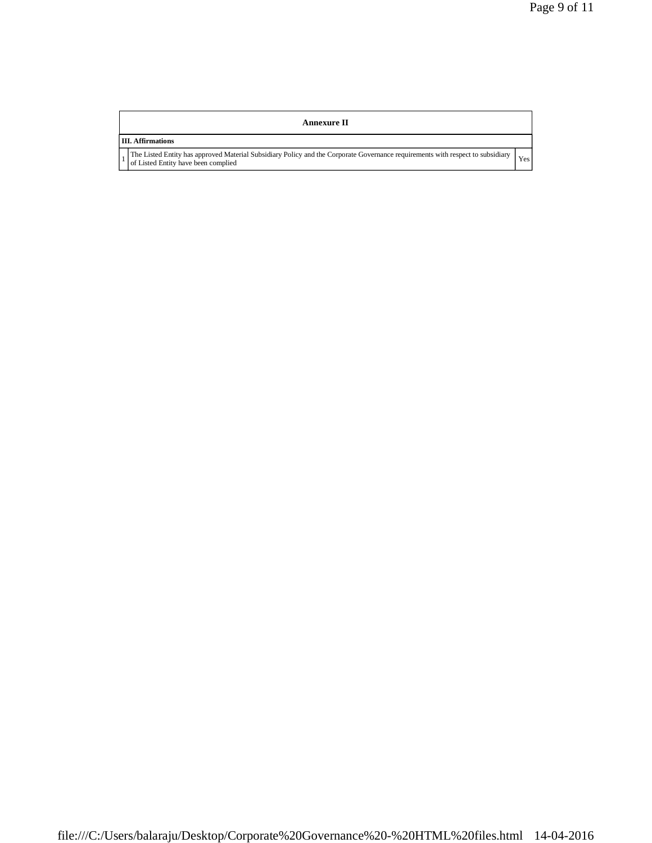## **Annexure II**

## **III. Affirmations**

1

The Listed Entity has approved Material Subsidiary Policy and the Corporate Governance requirements with respect to subsidiary of Listed Entity have been complied Yes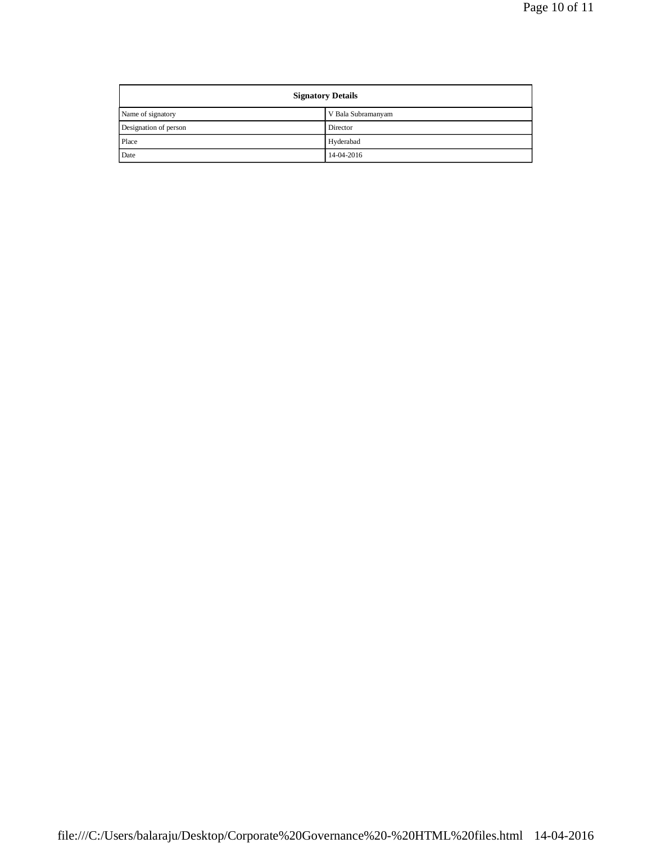| <b>Signatory Details</b> |                    |  |
|--------------------------|--------------------|--|
| Name of signatory        | V Bala Subramanyam |  |
| Designation of person    | Director           |  |
| Place                    | Hyderabad          |  |
| Date                     | 14-04-2016         |  |